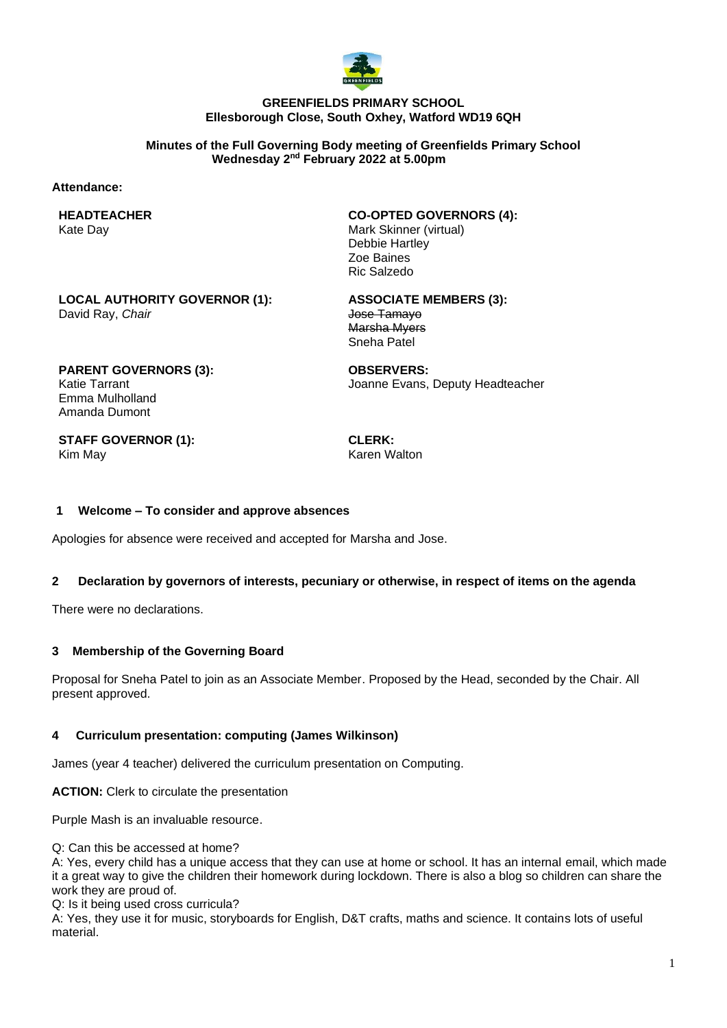

#### **GREENFIELDS PRIMARY SCHOOL Ellesborough Close, South Oxhey, Watford WD19 6QH**

#### **Minutes of the Full Governing Body meeting of Greenfields Primary School Wednesday 2 nd February 2022 at 5.00pm**

#### **Attendance:**

**HEADTEACHER** Kate Day

**CO-OPTED GOVERNORS (4):** Mark Skinner (virtual) Debbie Hartley Zoe Baines Ric Salzedo

**LOCAL AUTHORITY GOVERNOR (1):** David Ray, *Chair*

**ASSOCIATE MEMBERS (3):** Jose Tamayo Marsha Myers Sneha Patel

**PARENT GOVERNORS (3):** Katie Tarrant Emma Mulholland Amanda Dumont

**OBSERVERS:** Joanne Evans, Deputy Headteacher

**STAFF GOVERNOR (1):** Kim May

**CLERK:** Karen Walton

## **1 Welcome – To consider and approve absences**

Apologies for absence were received and accepted for Marsha and Jose.

## **2 Declaration by governors of interests, pecuniary or otherwise, in respect of items on the agenda**

There were no declarations.

## **3 Membership of the Governing Board**

Proposal for Sneha Patel to join as an Associate Member. Proposed by the Head, seconded by the Chair. All present approved.

## **4 Curriculum presentation: computing (James Wilkinson)**

James (year 4 teacher) delivered the curriculum presentation on Computing.

**ACTION:** Clerk to circulate the presentation

Purple Mash is an invaluable resource.

Q: Can this be accessed at home?

A: Yes, every child has a unique access that they can use at home or school. It has an internal email, which made it a great way to give the children their homework during lockdown. There is also a blog so children can share the work they are proud of.

Q: Is it being used cross curricula?

A: Yes, they use it for music, storyboards for English, D&T crafts, maths and science. It contains lots of useful material.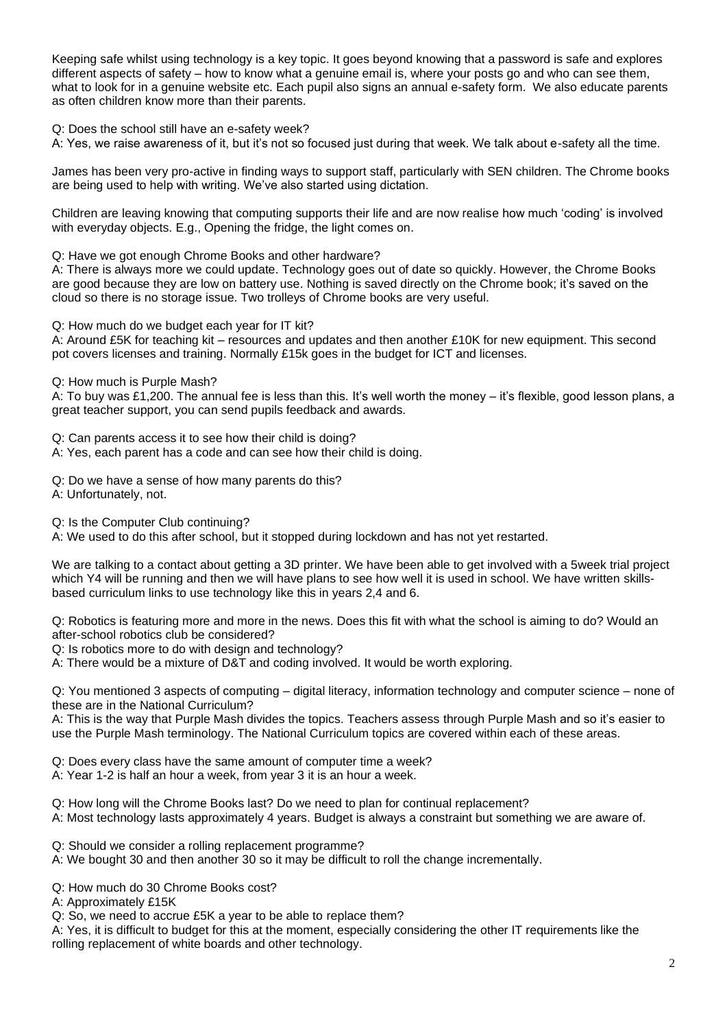Keeping safe whilst using technology is a key topic. It goes beyond knowing that a password is safe and explores different aspects of safety – how to know what a genuine email is, where your posts go and who can see them, what to look for in a genuine website etc. Each pupil also signs an annual e-safety form. We also educate parents as often children know more than their parents.

Q: Does the school still have an e-safety week?

A: Yes, we raise awareness of it, but it's not so focused just during that week. We talk about e-safety all the time.

James has been very pro-active in finding ways to support staff, particularly with SEN children. The Chrome books are being used to help with writing. We've also started using dictation.

Children are leaving knowing that computing supports their life and are now realise how much 'coding' is involved with everyday objects. E.g., Opening the fridge, the light comes on.

Q: Have we got enough Chrome Books and other hardware?

A: There is always more we could update. Technology goes out of date so quickly. However, the Chrome Books are good because they are low on battery use. Nothing is saved directly on the Chrome book; it's saved on the cloud so there is no storage issue. Two trolleys of Chrome books are very useful.

Q: How much do we budget each year for IT kit?

A: Around £5K for teaching kit – resources and updates and then another £10K for new equipment. This second pot covers licenses and training. Normally £15k goes in the budget for ICT and licenses.

Q: How much is Purple Mash?

A: To buy was £1,200. The annual fee is less than this. It's well worth the money – it's flexible, good lesson plans, a great teacher support, you can send pupils feedback and awards.

Q: Can parents access it to see how their child is doing?

A: Yes, each parent has a code and can see how their child is doing.

Q: Do we have a sense of how many parents do this?

A: Unfortunately, not.

Q: Is the Computer Club continuing?

A: We used to do this after school, but it stopped during lockdown and has not yet restarted.

We are talking to a contact about getting a 3D printer. We have been able to get involved with a 5week trial project which Y4 will be running and then we will have plans to see how well it is used in school. We have written skillsbased curriculum links to use technology like this in years 2,4 and 6.

Q: Robotics is featuring more and more in the news. Does this fit with what the school is aiming to do? Would an after-school robotics club be considered?

Q: Is robotics more to do with design and technology?

A: There would be a mixture of D&T and coding involved. It would be worth exploring.

Q: You mentioned 3 aspects of computing – digital literacy, information technology and computer science – none of these are in the National Curriculum?

A: This is the way that Purple Mash divides the topics. Teachers assess through Purple Mash and so it's easier to use the Purple Mash terminology. The National Curriculum topics are covered within each of these areas.

Q: Does every class have the same amount of computer time a week?

A: Year 1-2 is half an hour a week, from year 3 it is an hour a week.

Q: How long will the Chrome Books last? Do we need to plan for continual replacement?

A: Most technology lasts approximately 4 years. Budget is always a constraint but something we are aware of.

Q: Should we consider a rolling replacement programme?

A: We bought 30 and then another 30 so it may be difficult to roll the change incrementally.

Q: How much do 30 Chrome Books cost?

A: Approximately £15K

Q: So, we need to accrue £5K a year to be able to replace them?

A: Yes, it is difficult to budget for this at the moment, especially considering the other IT requirements like the rolling replacement of white boards and other technology.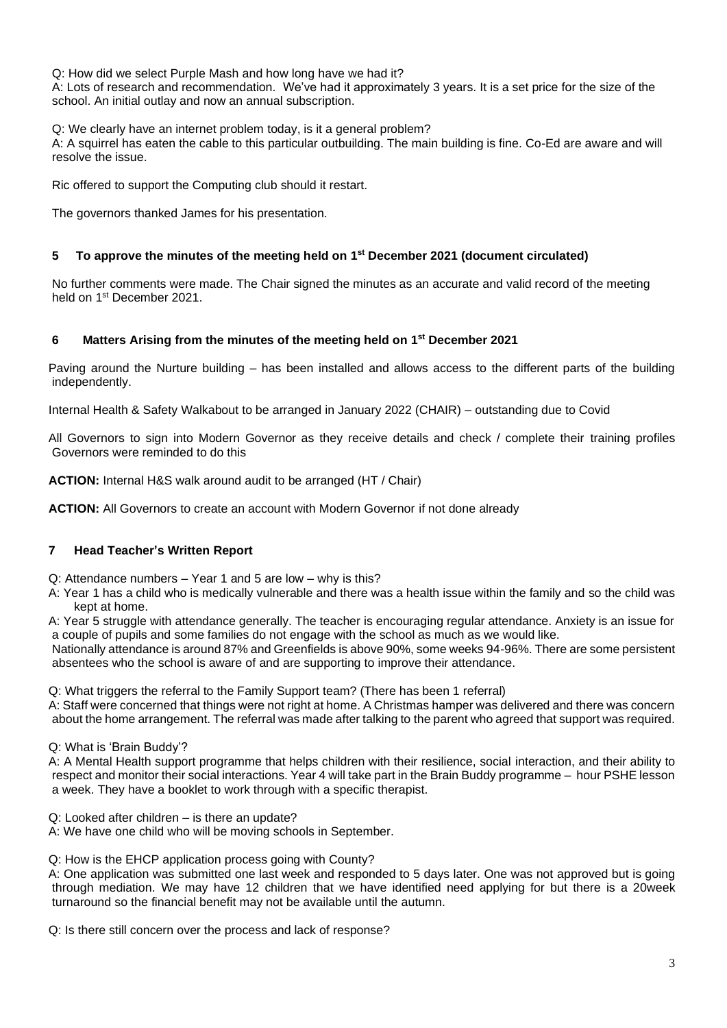Q: How did we select Purple Mash and how long have we had it?

A: Lots of research and recommendation. We've had it approximately 3 years. It is a set price for the size of the school. An initial outlay and now an annual subscription.

Q: We clearly have an internet problem today, is it a general problem?

A: A squirrel has eaten the cable to this particular outbuilding. The main building is fine. Co-Ed are aware and will resolve the issue.

Ric offered to support the Computing club should it restart.

The governors thanked James for his presentation.

## **5 To approve the minutes of the meeting held on 1 st December 2021 (document circulated)**

No further comments were made. The Chair signed the minutes as an accurate and valid record of the meeting held on 1<sup>st</sup> December 2021.

## **6 Matters Arising from the minutes of the meeting held on 1 st December 2021**

Paving around the Nurture building – has been installed and allows access to the different parts of the building independently.

Internal Health & Safety Walkabout to be arranged in January 2022 (CHAIR) – outstanding due to Covid

All Governors to sign into Modern Governor as they receive details and check / complete their training profiles Governors were reminded to do this

**ACTION:** Internal H&S walk around audit to be arranged (HT / Chair)

**ACTION:** All Governors to create an account with Modern Governor if not done already

## **7 Head Teacher's Written Report**

Q: Attendance numbers – Year 1 and 5 are low – why is this?

- A: Year 1 has a child who is medically vulnerable and there was a health issue within the family and so the child was kept at home.
- A: Year 5 struggle with attendance generally. The teacher is encouraging regular attendance. Anxiety is an issue for a couple of pupils and some families do not engage with the school as much as we would like.

Nationally attendance is around 87% and Greenfields is above 90%, some weeks 94-96%. There are some persistent absentees who the school is aware of and are supporting to improve their attendance.

Q: What triggers the referral to the Family Support team? (There has been 1 referral)

A: Staff were concerned that things were not right at home. A Christmas hamper was delivered and there was concern about the home arrangement. The referral was made after talking to the parent who agreed that support was required.

#### Q: What is 'Brain Buddy'?

A: A Mental Health support programme that helps children with their resilience, social interaction, and their ability to respect and monitor their social interactions. Year 4 will take part in the Brain Buddy programme – hour PSHE lesson a week. They have a booklet to work through with a specific therapist.

Q: Looked after children – is there an update?

A: We have one child who will be moving schools in September.

Q: How is the EHCP application process going with County?

A: One application was submitted one last week and responded to 5 days later. One was not approved but is going through mediation. We may have 12 children that we have identified need applying for but there is a 20week turnaround so the financial benefit may not be available until the autumn.

Q: Is there still concern over the process and lack of response?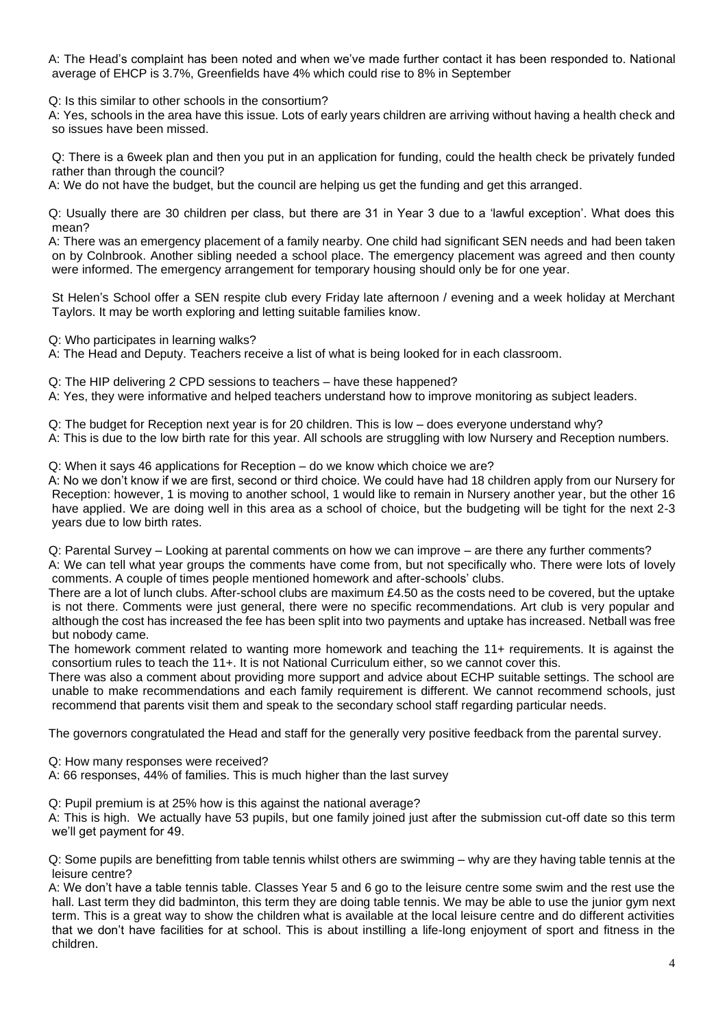A: The Head's complaint has been noted and when we've made further contact it has been responded to. National average of EHCP is 3.7%, Greenfields have 4% which could rise to 8% in September

Q: Is this similar to other schools in the consortium?

A: Yes, schools in the area have this issue. Lots of early years children are arriving without having a health check and so issues have been missed.

Q: There is a 6week plan and then you put in an application for funding, could the health check be privately funded rather than through the council?

A: We do not have the budget, but the council are helping us get the funding and get this arranged.

Q: Usually there are 30 children per class, but there are 31 in Year 3 due to a 'lawful exception'. What does this mean?

A: There was an emergency placement of a family nearby. One child had significant SEN needs and had been taken on by Colnbrook. Another sibling needed a school place. The emergency placement was agreed and then county were informed. The emergency arrangement for temporary housing should only be for one year.

St Helen's School offer a SEN respite club every Friday late afternoon / evening and a week holiday at Merchant Taylors. It may be worth exploring and letting suitable families know.

Q: Who participates in learning walks?

A: The Head and Deputy. Teachers receive a list of what is being looked for in each classroom.

Q: The HIP delivering 2 CPD sessions to teachers – have these happened?

A: Yes, they were informative and helped teachers understand how to improve monitoring as subject leaders.

Q: The budget for Reception next year is for 20 children. This is low – does everyone understand why?

A: This is due to the low birth rate for this year. All schools are struggling with low Nursery and Reception numbers.

Q: When it says 46 applications for Reception – do we know which choice we are?

A: No we don't know if we are first, second or third choice. We could have had 18 children apply from our Nursery for Reception: however, 1 is moving to another school, 1 would like to remain in Nursery another year, but the other 16 have applied. We are doing well in this area as a school of choice, but the budgeting will be tight for the next 2-3 years due to low birth rates.

Q: Parental Survey – Looking at parental comments on how we can improve – are there any further comments?

A: We can tell what year groups the comments have come from, but not specifically who. There were lots of lovely comments. A couple of times people mentioned homework and after-schools' clubs.

There are a lot of lunch clubs. After-school clubs are maximum £4.50 as the costs need to be covered, but the uptake is not there. Comments were just general, there were no specific recommendations. Art club is very popular and although the cost has increased the fee has been split into two payments and uptake has increased. Netball was free but nobody came.

The homework comment related to wanting more homework and teaching the 11+ requirements. It is against the consortium rules to teach the 11+. It is not National Curriculum either, so we cannot cover this.

There was also a comment about providing more support and advice about ECHP suitable settings. The school are unable to make recommendations and each family requirement is different. We cannot recommend schools, just recommend that parents visit them and speak to the secondary school staff regarding particular needs.

The governors congratulated the Head and staff for the generally very positive feedback from the parental survey.

Q: How many responses were received?

A: 66 responses, 44% of families. This is much higher than the last survey

Q: Pupil premium is at 25% how is this against the national average?

A: This is high. We actually have 53 pupils, but one family joined just after the submission cut-off date so this term we'll get payment for 49.

Q: Some pupils are benefitting from table tennis whilst others are swimming – why are they having table tennis at the leisure centre?

A: We don't have a table tennis table. Classes Year 5 and 6 go to the leisure centre some swim and the rest use the hall. Last term they did badminton, this term they are doing table tennis. We may be able to use the junior gym next term. This is a great way to show the children what is available at the local leisure centre and do different activities that we don't have facilities for at school. This is about instilling a life-long enjoyment of sport and fitness in the children.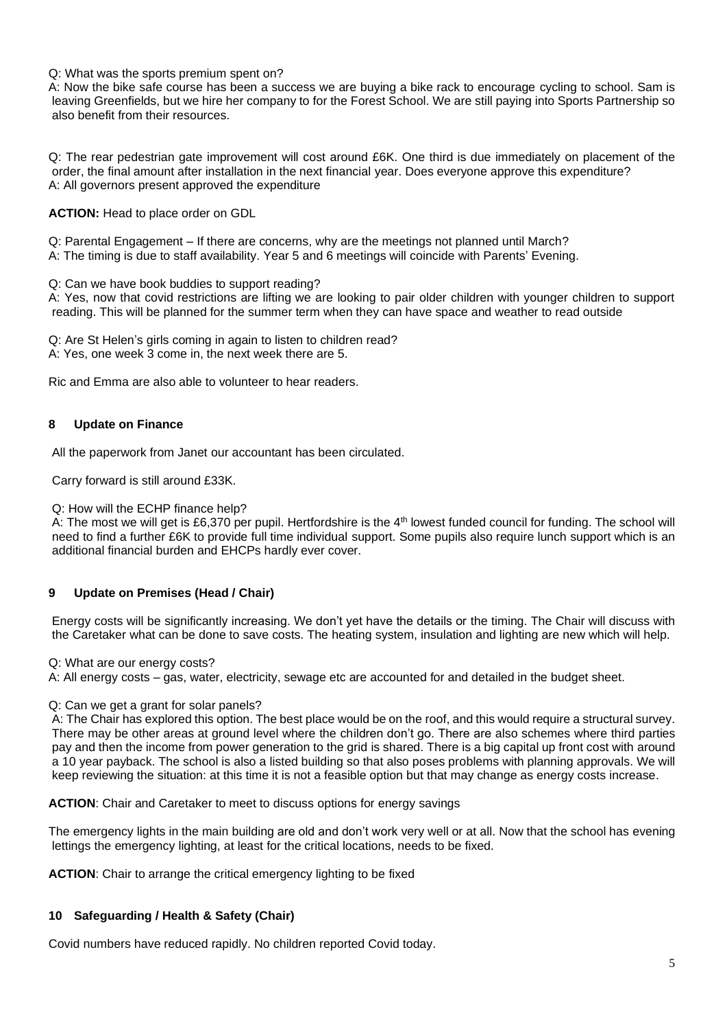#### Q: What was the sports premium spent on?

A: Now the bike safe course has been a success we are buying a bike rack to encourage cycling to school. Sam is leaving Greenfields, but we hire her company to for the Forest School. We are still paying into Sports Partnership so also benefit from their resources.

Q: The rear pedestrian gate improvement will cost around £6K. One third is due immediately on placement of the order, the final amount after installation in the next financial year. Does everyone approve this expenditure? A: All governors present approved the expenditure

**ACTION:** Head to place order on GDL

Q: Parental Engagement – If there are concerns, why are the meetings not planned until March?

A: The timing is due to staff availability. Year 5 and 6 meetings will coincide with Parents' Evening.

Q: Can we have book buddies to support reading?

A: Yes, now that covid restrictions are lifting we are looking to pair older children with younger children to support reading. This will be planned for the summer term when they can have space and weather to read outside

Q: Are St Helen's girls coming in again to listen to children read? A: Yes, one week 3 come in, the next week there are 5.

Ric and Emma are also able to volunteer to hear readers.

## **8 Update on Finance**

All the paperwork from Janet our accountant has been circulated.

Carry forward is still around £33K.

Q: How will the ECHP finance help?

A: The most we will get is £6,370 per pupil. Hertfordshire is the 4<sup>th</sup> lowest funded council for funding. The school will need to find a further £6K to provide full time individual support. Some pupils also require lunch support which is an additional financial burden and EHCPs hardly ever cover.

## **9 Update on Premises (Head / Chair)**

Energy costs will be significantly increasing. We don't yet have the details or the timing. The Chair will discuss with the Caretaker what can be done to save costs. The heating system, insulation and lighting are new which will help.

Q: What are our energy costs?

A: All energy costs – gas, water, electricity, sewage etc are accounted for and detailed in the budget sheet.

## Q: Can we get a grant for solar panels?

A: The Chair has explored this option. The best place would be on the roof, and this would require a structural survey. There may be other areas at ground level where the children don't go. There are also schemes where third parties pay and then the income from power generation to the grid is shared. There is a big capital up front cost with around a 10 year payback. The school is also a listed building so that also poses problems with planning approvals. We will keep reviewing the situation: at this time it is not a feasible option but that may change as energy costs increase.

**ACTION**: Chair and Caretaker to meet to discuss options for energy savings

The emergency lights in the main building are old and don't work very well or at all. Now that the school has evening lettings the emergency lighting, at least for the critical locations, needs to be fixed.

**ACTION**: Chair to arrange the critical emergency lighting to be fixed

## **10 Safeguarding / Health & Safety (Chair)**

Covid numbers have reduced rapidly. No children reported Covid today.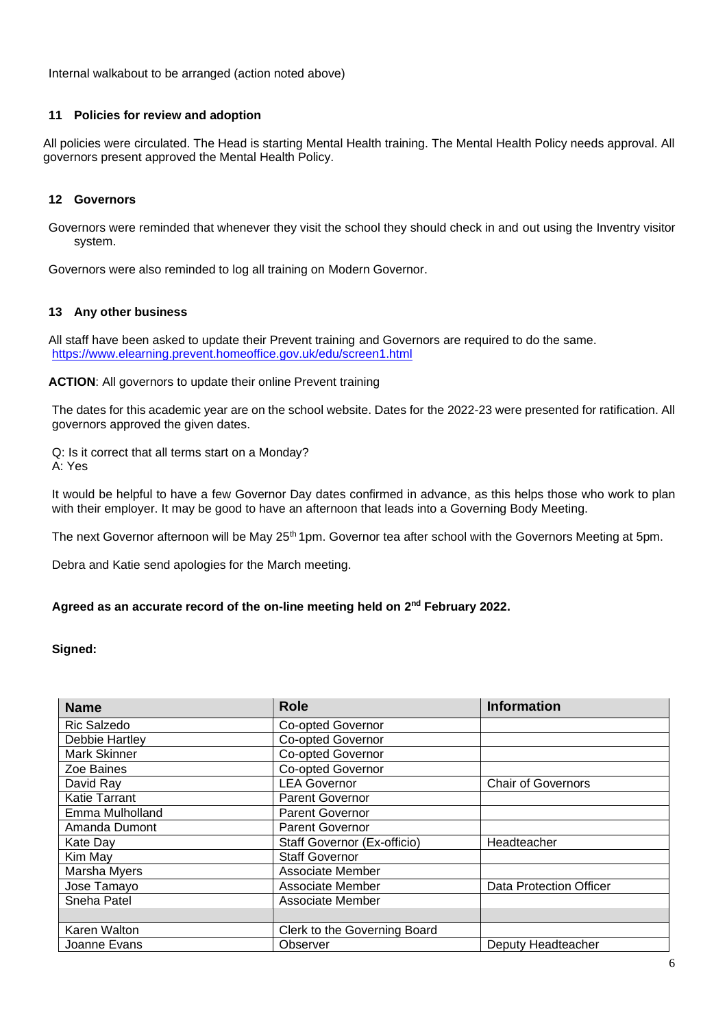Internal walkabout to be arranged (action noted above)

## **11 Policies for review and adoption**

All policies were circulated. The Head is starting Mental Health training. The Mental Health Policy needs approval. All governors present approved the Mental Health Policy.

## **12 Governors**

Governors were reminded that whenever they visit the school they should check in and out using the Inventry visitor system.

Governors were also reminded to log all training on Modern Governor.

## **13 Any other business**

All staff have been asked to update their Prevent training and Governors are required to do the same. https://www.elearning.prevent.homeoffice.gov.uk/edu/screen1.html

**ACTION**: All governors to update their online Prevent training

The dates for this academic year are on the school website. Dates for the 2022-23 were presented for ratification. All governors approved the given dates.

Q: Is it correct that all terms start on a Monday? A: Yes

It would be helpful to have a few Governor Day dates confirmed in advance, as this helps those who work to plan with their employer. It may be good to have an afternoon that leads into a Governing Body Meeting.

The next Governor afternoon will be May 25<sup>th</sup> 1pm. Governor tea after school with the Governors Meeting at 5pm.

Debra and Katie send apologies for the March meeting.

## Agreed as an accurate record of the on-line meeting held on 2<sup>nd</sup> February 2022.

## **Signed:**

| <b>Name</b>          | <b>Role</b>                  | <b>Information</b>             |
|----------------------|------------------------------|--------------------------------|
| Ric Salzedo          | <b>Co-opted Governor</b>     |                                |
| Debbie Hartley       | Co-opted Governor            |                                |
| <b>Mark Skinner</b>  | Co-opted Governor            |                                |
| Zoe Baines           | <b>Co-opted Governor</b>     |                                |
| David Ray            | <b>LEA Governor</b>          | <b>Chair of Governors</b>      |
| <b>Katie Tarrant</b> | <b>Parent Governor</b>       |                                |
| Emma Mulholland      | Parent Governor              |                                |
| Amanda Dumont        | <b>Parent Governor</b>       |                                |
| Kate Day             | Staff Governor (Ex-officio)  | Headteacher                    |
| Kim May              | <b>Staff Governor</b>        |                                |
| Marsha Myers         | Associate Member             |                                |
| Jose Tamayo          | Associate Member             | <b>Data Protection Officer</b> |
| Sneha Patel          | Associate Member             |                                |
|                      |                              |                                |
| Karen Walton         | Clerk to the Governing Board |                                |
| Joanne Evans         | Observer                     | Deputy Headteacher             |